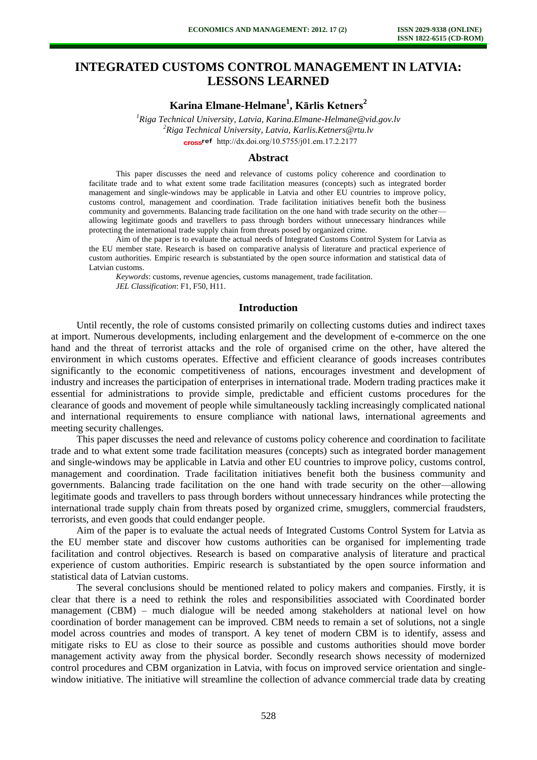# **INTEGRATED CUSTOMS CONTROL MANAGEMENT IN LATVIA: LESSONS LEARNED**

**Karina Elmane-Helmane<sup>1</sup> , Kārlis Ketners<sup>2</sup>**

*<sup>1</sup>Riga Technical University, Latvia, Karina.Elmane-Helmane@vid.gov.lv <sup>2</sup>Riga Technical University, Latvia, Karlis.Ketners@rtu.lv*  cross<sup>ref</sup> [http://dx.doi.org/10.5755/j01.e](http://dx.doi.org/10.5755/j01.em.17.2.2177)m.17.2.2177

#### **Abstract**

This paper discusses the need and relevance of customs policy coherence and coordination to facilitate trade and to what extent some trade facilitation measures (concepts) such as integrated border management and single-windows may be applicable in Latvia and other EU countries to improve policy, customs control, management and coordination. Trade facilitation initiatives benefit both the business community and governments. Balancing trade facilitation on the one hand with trade security on the other allowing legitimate goods and travellers to pass through borders without unnecessary hindrances while protecting the international trade supply chain from threats posed by organized crime.

Aim of the paper is to evaluate the actual needs of Integrated Customs Control System for Latvia as the EU member state. Research is based on comparative analysis of literature and practical experience of custom authorities. Empiric research is substantiated by the open source information and statistical data of Latvian customs.

*Keywords*: customs, revenue agencies, customs management, trade facilitation. *JEL Classification*: F1, F50, H11.

## **Introduction**

Until recently, the role of customs consisted primarily on collecting customs duties and indirect taxes at import. Numerous developments, including enlargement and the development of e-commerce on the one hand and the threat of terrorist attacks and the role of organised crime on the other, have altered the environment in which customs operates. Effective and efficient clearance of goods increases contributes significantly to the economic competitiveness of nations, encourages investment and development of industry and increases the participation of enterprises in international trade. Modern trading practices make it essential for administrations to provide simple, predictable and efficient customs procedures for the clearance of goods and movement of people while simultaneously tackling increasingly complicated national and international requirements to ensure compliance with national laws, international agreements and meeting security challenges.

This paper discusses the need and relevance of customs policy coherence and coordination to facilitate trade and to what extent some trade facilitation measures (concepts) such as integrated border management and single-windows may be applicable in Latvia and other EU countries to improve policy, customs control, management and coordination. Trade facilitation initiatives benefit both the business community and governments. Balancing trade facilitation on the one hand with trade security on the other—allowing legitimate goods and travellers to pass through borders without unnecessary hindrances while protecting the international trade supply chain from threats posed by organized crime, smugglers, commercial fraudsters, terrorists, and even goods that could endanger people.

Aim of the paper is to evaluate the actual needs of Integrated Customs Control System for Latvia as the EU member state and discover how customs authorities can be organised for implementing trade facilitation and control objectives. Research is based on comparative analysis of literature and practical experience of custom authorities. Empiric research is substantiated by the open source information and statistical data of Latvian customs.

The several conclusions should be mentioned related to policy makers and companies. Firstly, it is clear that there is a need to rethink the roles and responsibilities associated with Coordinated border management (CBM) – much dialogue will be needed among stakeholders at national level on how coordination of border management can be improved. CBM needs to remain a set of solutions, not a single model across countries and modes of transport. A key tenet of modern CBM is to identify, assess and mitigate risks to EU as close to their source as possible and customs authorities should move border management activity away from the physical border. Secondly research shows necessity of modernized control procedures and CBM organization in Latvia, with focus on improved service orientation and singlewindow initiative. The initiative will streamline the collection of advance commercial trade data by creating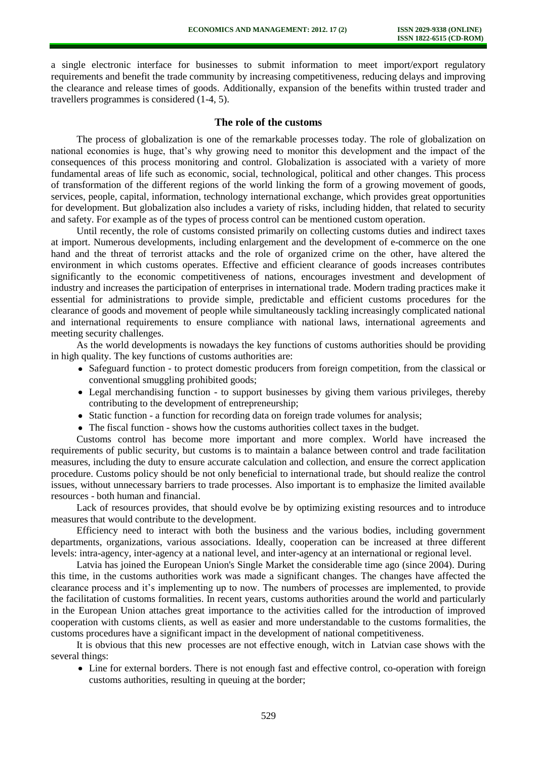a single electronic interface for businesses to submit information to meet import/export regulatory requirements and benefit the trade community by increasing competitiveness, reducing delays and improving the clearance and release times of goods. Additionally, expansion of the benefits within trusted trader and travellers programmes is considered (1-4, 5).

## **The role of the customs**

The process of globalization is one of the remarkable processes today. The role of globalization on national economies is huge, that's why growing need to monitor this development and the impact of the consequences of this process monitoring and control. Globalization is associated with a variety of more fundamental areas of life such as economic, social, technological, political and other changes. This process of transformation of the different regions of the world linking the form of a growing movement of goods, services, people, capital, information, technology international exchange, which provides great opportunities for development. But globalization also includes a variety of risks, including hidden, that related to security and safety. For example as of the types of process control can be mentioned custom operation.

Until recently, the role of customs consisted primarily on collecting customs duties and indirect taxes at import. Numerous developments, including enlargement and the development of e-commerce on the one hand and the threat of terrorist attacks and the role of organized crime on the other, have altered the environment in which customs operates. Effective and efficient clearance of goods increases contributes significantly to the economic competitiveness of nations, encourages investment and development of industry and increases the participation of enterprises in international trade. Modern trading practices make it essential for administrations to provide simple, predictable and efficient customs procedures for the clearance of goods and movement of people while simultaneously tackling increasingly complicated national and international requirements to ensure compliance with national laws, international agreements and meeting security challenges.

As the world developments is nowadays the key functions of customs authorities should be providing in high quality. The key functions of customs authorities are:

- Safeguard function to protect domestic producers from foreign competition, from the classical or conventional smuggling prohibited goods;
- Legal merchandising function to support businesses by giving them various privileges, thereby contributing to the development of entrepreneurship;
- Static function a function for recording data on foreign trade volumes for analysis;
- The fiscal function shows how the customs authorities collect taxes in the budget.

Customs control has become more important and more complex. World have increased the requirements of public security, but customs is to maintain a balance between control and trade facilitation measures, including the duty to ensure accurate calculation and collection, and ensure the correct application procedure. Customs policy should be not only beneficial to international trade, but should realize the control issues, without unnecessary barriers to trade processes. Also important is to emphasize the limited available resources - both human and financial.

Lack of resources provides, that should evolve be by optimizing existing resources and to introduce measures that would contribute to the development.

Efficiency need to interact with both the business and the various bodies, including government departments, organizations, various associations. Ideally, cooperation can be increased at three different levels: intra-agency, inter-agency at a national level, and inter-agency at an international or regional level.

Latvia has joined the European Union's Single Market the considerable time ago (since 2004). During this time, in the customs authorities work was made a significant changes. The changes have affected the clearance process and it's implementing up to now. The numbers of processes are implemented, to provide the facilitation of customs formalities. In recent years, customs authorities around the world and particularly in the European Union attaches great importance to the activities called for the introduction of improved cooperation with customs clients, as well as easier and more understandable to the customs formalities, the customs procedures have a significant impact in the development of national competitiveness.

It is obvious that this new processes are not effective enough, witch in Latvian case shows with the several things:

Line for external borders. There is not enough fast and effective control, co-operation with foreign customs authorities, resulting in queuing at the border;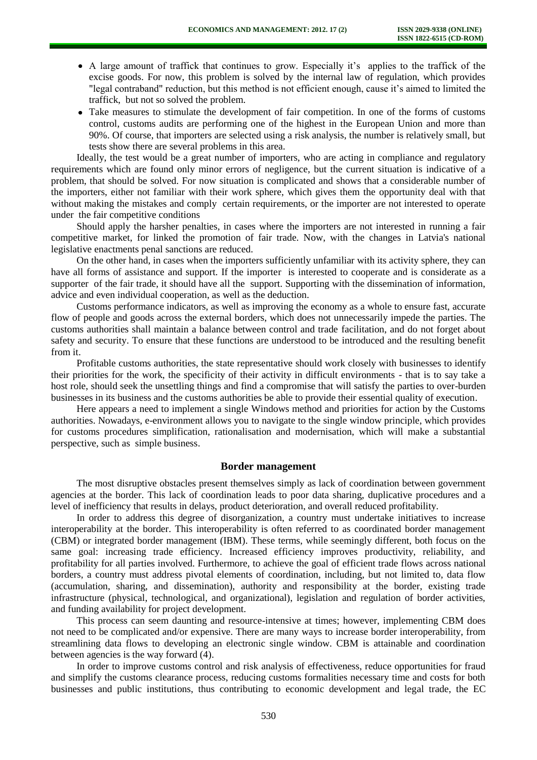- A large amount of traffick that continues to grow. Especially it's applies to the traffick of the excise goods. For now, this problem is solved by the internal law of regulation, which provides "legal contraband" reduction, but this method is not efficient enough, cause it's aimed to limited the traffick, but not so solved the problem.
- Take measures to stimulate the development of fair competition. In one of the forms of customs control, customs audits are performing one of the highest in the European Union and more than 90%. Of course, that importers are selected using a risk analysis, the number is relatively small, but tests show there are several problems in this area.

Ideally, the test would be a great number of importers, who are acting in compliance and regulatory requirements which are found only minor errors of negligence, but the current situation is indicative of a problem, that should be solved. For now situation is complicated and shows that a considerable number of the importers, either not familiar with their work sphere, which gives them the opportunity deal with that without making the mistakes and comply certain requirements, or the importer are not interested to operate under the fair competitive conditions

Should apply the harsher penalties, in cases where the importers are not interested in running a fair competitive market, for linked the promotion of fair trade. Now, with the changes in Latvia's national legislative enactments penal sanctions are reduced.

On the other hand, in cases when the importers sufficiently unfamiliar with its activity sphere, they can have all forms of assistance and support. If the importer is interested to cooperate and is considerate as a supporter of the fair trade, it should have all the support. Supporting with the dissemination of information, advice and even individual cooperation, as well as the deduction.

Customs performance indicators, as well as improving the economy as a whole to ensure fast, accurate flow of people and goods across the external borders, which does not unnecessarily impede the parties. The customs authorities shall maintain a balance between control and trade facilitation, and do not forget about safety and security. To ensure that these functions are understood to be introduced and the resulting benefit from it.

Profitable customs authorities, the state representative should work closely with businesses to identify their priorities for the work, the specificity of their activity in difficult environments - that is to say take a host role, should seek the unsettling things and find a compromise that will satisfy the parties to over-burden businesses in its business and the customs authorities be able to provide their essential quality of execution.

Here appears a need to implement a single Windows method and priorities for action by the Customs authorities. Nowadays, e-environment allows you to navigate to the single window principle, which provides for customs procedures simplification, rationalisation and modernisation, which will make a substantial perspective, such as simple business.

#### **Border management**

The most disruptive obstacles present themselves simply as lack of coordination between government agencies at the border. This lack of coordination leads to poor data sharing, duplicative procedures and a level of inefficiency that results in delays, product deterioration, and overall reduced profitability.

In order to address this degree of disorganization, a country must undertake initiatives to increase interoperability at the border. This interoperability is often referred to as coordinated border management (CBM) or integrated border management (IBM). These terms, while seemingly different, both focus on the same goal: increasing trade efficiency. Increased efficiency improves productivity, reliability, and profitability for all parties involved. Furthermore, to achieve the goal of efficient trade flows across national borders, a country must address pivotal elements of coordination, including, but not limited to, data flow (accumulation, sharing, and dissemination), authority and responsibility at the border, existing trade infrastructure (physical, technological, and organizational), legislation and regulation of border activities, and funding availability for project development.

This process can seem daunting and resource-intensive at times; however, implementing CBM does not need to be complicated and/or expensive. There are many ways to increase border interoperability, from streamlining data flows to developing an electronic single window. CBM is attainable and coordination between agencies is the way forward (4).

In order to improve customs control and risk analysis of effectiveness, reduce opportunities for fraud and simplify the customs clearance process, reducing customs formalities necessary time and costs for both businesses and public institutions, thus contributing to economic development and legal trade, the EC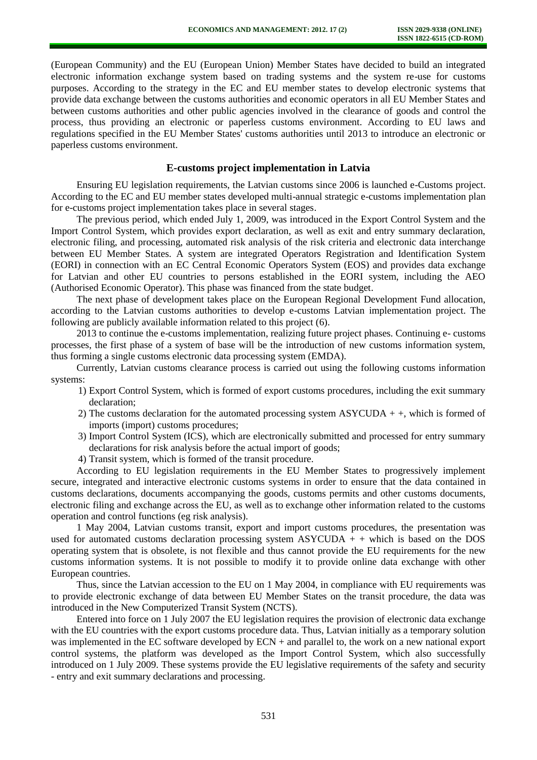(European Community) and the EU (European Union) Member States have decided to build an integrated electronic information exchange system based on trading systems and the system re-use for customs purposes. According to the strategy in the EC and EU member states to develop electronic systems that provide data exchange between the customs authorities and economic operators in all EU Member States and between customs authorities and other public agencies involved in the clearance of goods and control the process, thus providing an electronic or paperless customs environment. According to EU laws and regulations specified in the EU Member States' customs authorities until 2013 to introduce an electronic or paperless customs environment.

## **E-customs project implementation in Latvia**

Ensuring EU legislation requirements, the Latvian customs since 2006 is launched e-Customs project. According to the EC and EU member states developed multi-annual strategic e-customs implementation plan for e-customs project implementation takes place in several stages.

The previous period, which ended July 1, 2009, was introduced in the Export Control System and the Import Control System, which provides export declaration, as well as exit and entry summary declaration, electronic filing, and processing, automated risk analysis of the risk criteria and electronic data interchange between EU Member States. A system are integrated Operators Registration and Identification System (EORI) in connection with an EC Central Economic Operators System (EOS) and provides data exchange for Latvian and other EU countries to persons established in the EORI system, including the AEO (Authorised Economic Operator). This phase was financed from the state budget.

The next phase of development takes place on the European Regional Development Fund allocation, according to the Latvian customs authorities to develop e-customs Latvian implementation project. The following are publicly available information related to this project (6).

2013 to continue the e-customs implementation, realizing future project phases. Continuing e- customs processes, the first phase of a system of base will be the introduction of new customs information system, thus forming a single customs electronic data processing system (EMDA).

Currently, Latvian customs clearance process is carried out using the following customs information systems:

- 1) Export Control System, which is formed of export customs procedures, including the exit summary declaration;
- 2) The customs declaration for the automated processing system ASYCUDA  $+$ , which is formed of imports (import) customs procedures;
- 3) Import Control System (ICS), which are electronically submitted and processed for entry summary declarations for risk analysis before the actual import of goods;
- 4) Transit system, which is formed of the transit procedure.

According to EU legislation requirements in the EU Member States to progressively implement secure, integrated and interactive electronic customs systems in order to ensure that the data contained in customs declarations, documents accompanying the goods, customs permits and other customs documents, electronic filing and exchange across the EU, as well as to exchange other information related to the customs operation and control functions (eg risk analysis).

1 May 2004, Latvian customs transit, export and import customs procedures, the presentation was used for automated customs declaration processing system  $\text{ASYCUDA}$  + + which is based on the DOS operating system that is obsolete, is not flexible and thus cannot provide the EU requirements for the new customs information systems. It is not possible to modify it to provide online data exchange with other European countries.

Thus, since the Latvian accession to the EU on 1 May 2004, in compliance with EU requirements was to provide electronic exchange of data between EU Member States on the transit procedure, the data was introduced in the New Computerized Transit System (NCTS).

Entered into force on 1 July 2007 the EU legislation requires the provision of electronic data exchange with the EU countries with the export customs procedure data. Thus, Latvian initially as a temporary solution was implemented in the EC software developed by ECN + and parallel to, the work on a new national export control systems, the platform was developed as the Import Control System, which also successfully introduced on 1 July 2009. These systems provide the EU legislative requirements of the safety and security - entry and exit summary declarations and processing.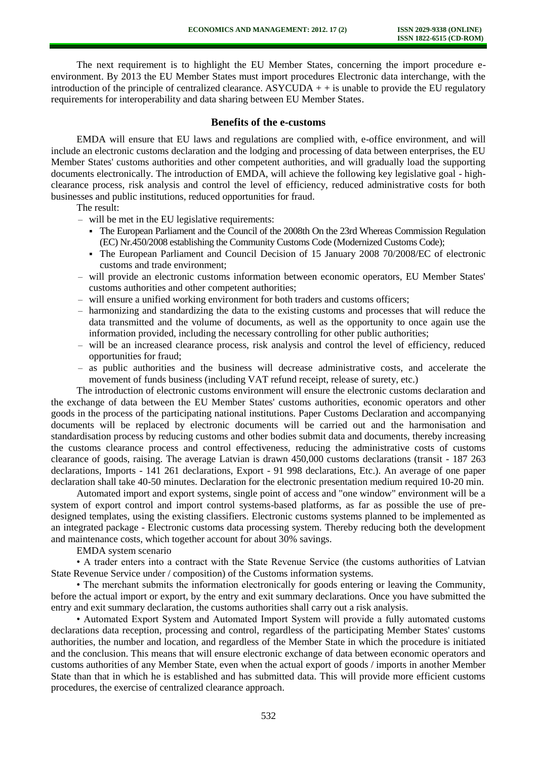The next requirement is to highlight the EU Member States, concerning the import procedure eenvironment. By 2013 the EU Member States must import procedures Electronic data interchange, with the introduction of the principle of centralized clearance. ASYCUDA  $+$  + is unable to provide the EU regulatory requirements for interoperability and data sharing between EU Member States.

## **Benefits of the e-customs**

EMDA will ensure that EU laws and regulations are complied with, e-office environment, and will include an electronic customs declaration and the lodging and processing of data between enterprises, the EU Member States' customs authorities and other competent authorities, and will gradually load the supporting documents electronically. The introduction of EMDA, will achieve the following key legislative goal - highclearance process, risk analysis and control the level of efficiency, reduced administrative costs for both businesses and public institutions, reduced opportunities for fraud.

### The result:

– will be met in the EU legislative requirements:

- The European Parliament and the Council of the 2008th On the 23rd Whereas Commission Regulation (EC) Nr.450/2008 establishing the Community Customs Code (Modernized Customs Code);
- The European Parliament and Council Decision of 15 January 2008 70/2008/EC of electronic customs and trade environment;
- will provide an electronic customs information between economic operators, EU Member States' customs authorities and other competent authorities;
- will ensure a unified working environment for both traders and customs officers;
- harmonizing and standardizing the data to the existing customs and processes that will reduce the data transmitted and the volume of documents, as well as the opportunity to once again use the information provided, including the necessary controlling for other public authorities;
- will be an increased clearance process, risk analysis and control the level of efficiency, reduced opportunities for fraud;
- as public authorities and the business will decrease administrative costs, and accelerate the movement of funds business (including VAT refund receipt, release of surety, etc.)

The introduction of electronic customs environment will ensure the electronic customs declaration and the exchange of data between the EU Member States' customs authorities, economic operators and other goods in the process of the participating national institutions. Paper Customs Declaration and accompanying documents will be replaced by electronic documents will be carried out and the harmonisation and standardisation process by reducing customs and other bodies submit data and documents, thereby increasing the customs clearance process and control effectiveness, reducing the administrative costs of customs clearance of goods, raising. The average Latvian is drawn 450,000 customs declarations (transit - 187 263 declarations, Imports - 141 261 declarations, Export - 91 998 declarations, Etc.). An average of one paper declaration shall take 40-50 minutes. Declaration for the electronic presentation medium required 10-20 min.

Automated import and export systems, single point of access and "one window" environment will be a system of export control and import control systems-based platforms, as far as possible the use of predesigned templates, using the existing classifiers. Electronic customs systems planned to be implemented as an integrated package - Electronic customs data processing system. Thereby reducing both the development and maintenance costs, which together account for about 30% savings.

EMDA system scenario

• A trader enters into a contract with the State Revenue Service (the customs authorities of Latvian State Revenue Service under / composition) of the Customs information systems.

• The merchant submits the information electronically for goods entering or leaving the Community, before the actual import or export, by the entry and exit summary declarations. Once you have submitted the entry and exit summary declaration, the customs authorities shall carry out a risk analysis.

• Automated Export System and Automated Import System will provide a fully automated customs declarations data reception, processing and control, regardless of the participating Member States' customs authorities, the number and location, and regardless of the Member State in which the procedure is initiated and the conclusion. This means that will ensure electronic exchange of data between economic operators and customs authorities of any Member State, even when the actual export of goods / imports in another Member State than that in which he is established and has submitted data. This will provide more efficient customs procedures, the exercise of centralized clearance approach.